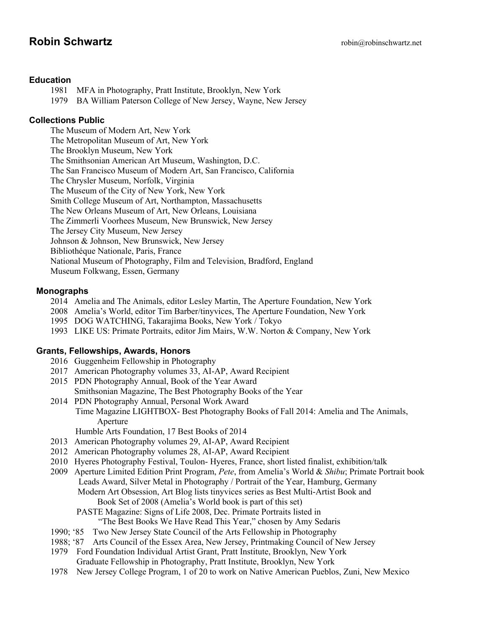# **Robin Schwartz robing**robinschwartz.net

### **Education**

1981 MFA in Photography, Pratt Institute, Brooklyn, New York

1979 BA William Paterson College of New Jersey, Wayne, New Jersey

# **Collections Public**

The Museum of Modern Art, New York The Metropolitan Museum of Art, New York The Brooklyn Museum, New York The Smithsonian American Art Museum, Washington, D.C. The San Francisco Museum of Modern Art, San Francisco, California The Chrysler Museum, Norfolk, Virginia The Museum of the City of New York, New York Smith College Museum of Art, Northampton, Massachusetts The New Orleans Museum of Art, New Orleans, Louisiana The Zimmerli Voorhees Museum, New Brunswick, New Jersey The Jersey City Museum, New Jersey Johnson & Johnson, New Brunswick, New Jersey Bibliothéque Nationale, Paris, France National Museum of Photography, Film and Television, Bradford, England Museum Folkwang, Essen, Germany

# **Monographs**

- 2014 Amelia and The Animals, editor Lesley Martin, The Aperture Foundation, New York
- 2008 Amelia's World, editor Tim Barber/tinyvices, The Aperture Foundation, New York
- 1995 DOG WATCHING, Takarajima Books, New York / Tokyo
- 1993 LIKE US: Primate Portraits, editor Jim Mairs, W.W. Norton & Company, New York

## **Grants, Fellowships, Awards, Honors**

- 2016 Guggenheim Fellowship in Photography
- 2017 American Photography volumes 33, AI-AP, Award Recipient
- 2015 PDN Photography Annual, Book of the Year Award Smithsonian Magazine, The Best Photography Books of the Year
- 2014 PDN Photography Annual, Personal Work Award Time Magazine LIGHTBOX- Best Photography Books of Fall 2014: Amelia and The Animals, Aperture
	- Humble Arts Foundation, 17 Best Books of 2014
- 2013 American Photography volumes 29, AI-AP, Award Recipient
- 2012 American Photography volumes 28, AI-AP, Award Recipient
- 2010 Hyeres Photography Festival, Toulon- Hyeres, France, short listed finalist, exhibition/talk
- 2009 Aperture Limited Edition Print Program, *Pete*, from Amelia's World & *Shibu*; Primate Portrait book Leads Award, Silver Metal in Photography / Portrait of the Year, Hamburg, Germany Modern Art Obsession, Art Blog lists tinyvices series as Best Multi-Artist Book and Book Set of 2008 (Amelia's World book is part of this set)
	- PASTE Magazine: Signs of Life 2008, Dec. Primate Portraits listed in "The Best Books We Have Read This Year," chosen by Amy Sedaris
- 1990; '85 Two New Jersey State Council of the Arts Fellowship in Photography
- 1988; '87 Arts Council of the Essex Area, New Jersey, Printmaking Council of New Jersey
- 1979 Ford Foundation Individual Artist Grant, Pratt Institute, Brooklyn, New York Graduate Fellowship in Photography, Pratt Institute, Brooklyn, New York
- 1978 New Jersey College Program, 1 of 20 to work on Native American Pueblos, Zuni, New Mexico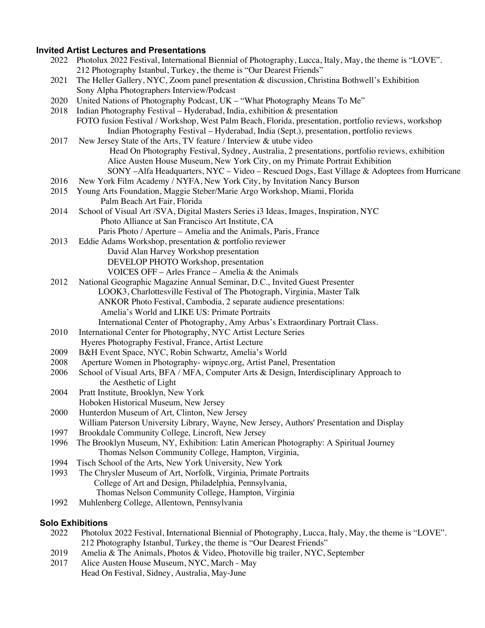### **Invited Artist Lectures and Presentations**

|      | nvited Artist Lectures and Presentations                                                               |
|------|--------------------------------------------------------------------------------------------------------|
| 2022 | Photolux 2022 Festival, International Biennial of Photography, Lucca, Italy, May, the theme is "LOVE". |
|      | 212 Photography Istanbul, Turkey, the theme is "Our Dearest Friends"                                   |
| 2021 | The Heller Gallery, NYC, Zoom panel presentation & discussion, Christina Bothwell's Exhibition         |
|      | Sony Alpha Photographers Interview/Podcast                                                             |
| 2020 | United Nations of Photography Podcast, UK - "What Photography Means To Me"                             |
| 2018 | Indian Photography Festival - Hyderabad, India, exhibition & presentation                              |
|      | FOTO fusion Festival / Workshop, West Palm Beach, Florida, presentation, portfolio reviews, workshop   |
|      | Indian Photography Festival – Hyderabad, India (Sept.), presentation, portfolio reviews                |
| 2017 | New Jersey State of the Arts, TV feature / Interview & utube video                                     |
|      | Head On Photography Festival, Sydney, Australia, 2 presentations, portfolio reviews, exhibition        |
|      | Alice Austen House Museum, New York City, on my Primate Portrait Exhibition                            |
|      | SONY -Alfa Headquarters, NYC - Video - Rescued Dogs, East Village & Adoptees from Hurricane            |
| 2016 | New York Film Academy / NYFA, New York City, by Invitation Nancy Burson                                |
| 2015 | Young Arts Foundation, Maggie Steber/Marie Argo Workshop, Miami, Florida                               |
|      | Palm Beach Art Fair, Florida                                                                           |
| 2014 | School of Visual Art /SVA, Digital Masters Series i3 Ideas, Images, Inspiration, NYC                   |
|      | Photo Alliance at San Francisco Art Institute, CA                                                      |
|      | Paris Photo / Aperture – Amelia and the Animals, Paris, France                                         |
| 2013 | Eddie Adams Workshop, presentation & portfolio reviewer                                                |
|      | David Alan Harvey Workshop presentation                                                                |
|      | DEVELOP PHOTO Workshop, presentation                                                                   |
|      | VOICES OFF – Arles France – Amelia & the Animals                                                       |
| 2012 | National Geographic Magazine Annual Seminar, D.C., Invited Guest Presenter                             |
|      | LOOK3, Charlottesville Festival of The Photograph, Virginia, Master Talk                               |
|      | ANKOR Photo Festival, Cambodia, 2 separate audience presentations:                                     |
|      | Amelia's World and LIKE US: Primate Portraits                                                          |
|      | International Center of Photography, Amy Arbus's Extraordinary Portrait Class.                         |
| 2010 | International Center for Photography, NYC Artist Lecture Series                                        |
|      | Hyeres Photography Festival, France, Artist Lecture                                                    |
| 2009 | B&H Event Space, NYC, Robin Schwartz, Amelia's World                                                   |
| 2008 | Aperture Women in Photography-wipnyc.org, Artist Panel, Presentation                                   |
| 2006 | School of Visual Arts, BFA / MFA, Computer Arts & Design, Interdisciplinary Approach to                |
|      | the Aesthetic of Light                                                                                 |
| 2004 | Pratt Institute, Brooklyn, New York                                                                    |
|      | Hoboken Historical Museum, New Jersey                                                                  |
| 2000 | Hunterdon Museum of Art, Clinton, New Jersey                                                           |
|      | William Paterson University Library, Wayne, New Jersey, Authors' Presentation and Display              |
| 1997 | Brookdale Community College, Lincroft, New Jersey                                                      |
| 1996 | The Brooklyn Museum, NY, Exhibition: Latin American Photography: A Spiritual Journey                   |
|      | Thomas Nelson Community College, Hampton, Virginia,                                                    |
| 1994 | Tisch School of the Arts, New York University, New York                                                |
| 1993 | The Chrysler Museum of Art, Norfolk, Virginia, Primate Portraits                                       |
|      | College of Art and Design, Philadelphia, Pennsylvania,                                                 |
|      | Thomas Nelson Community College, Hampton, Virginia                                                     |
| 1992 | Muhlenberg College, Allentown, Pennsylvania                                                            |
|      | <b>Solo Exhibitions</b>                                                                                |

- 2022 Photolux 2022 Festival, International Biennial of Photography, Lucca, Italy, May, the theme is "LOVE". 212 Photography Istanbul, Turkey, the theme is "Our Dearest Friends"
- 2019 Amelia & The Animals, Photos & Video, Photoville big trailer, NYC, September
- 2017 Alice Austen House Museum, NYC, March May Head On Festival, Sidney, Australia, May-June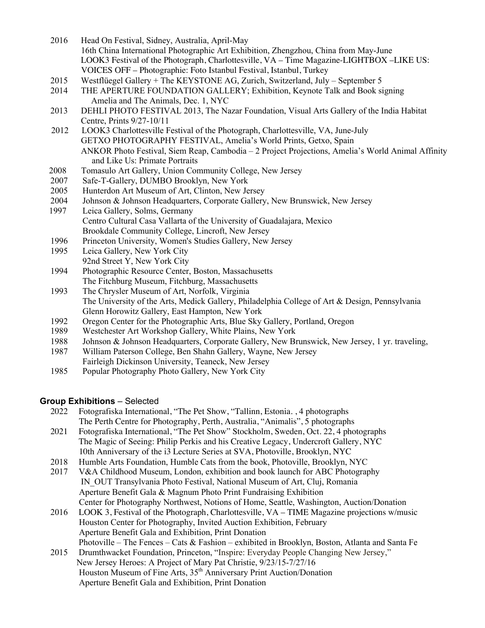- 2016 Head On Festival, Sidney, Australia, April-May 16th China International Photographic Art Exhibition, Zhengzhou, China from May-June LOOK3 Festival of the Photograph, Charlottesville, VA – Time Magazine-LIGHTBOX –LIKE US: VOICES OFF – Photographie: Foto Istanbul Festival, Istanbul, Turkey
- 2015 Westflüegel Gallery + The KEYSTONE AG, Zurich, Switzerland, July September 5
- 2014 THE APERTURE FOUNDATION GALLERY; Exhibition, Keynote Talk and Book signing Amelia and The Animals, Dec. 1, NYC
- 2013 DEHLI PHOTO FESTIVAL 2013, The Nazar Foundation, Visual Arts Gallery of the India Habitat Centre, Prints 9/27-10/11
- 2012 LOOK3 Charlottesville Festival of the Photograph, Charlottesville, VA, June-July GETXO PHOTOGRAPHY FESTIVAL, Amelia's World Prints, Getxo, Spain ANKOR Photo Festival, Siem Reap, Cambodia – 2 Project Projections, Amelia's World Animal Affinity and Like Us: Primate Portraits
- 2008 Tomasulo Art Gallery, Union Community College, New Jersey
- 2007 Safe-T-Gallery, DUMBO Brooklyn, New York
- 2005 Hunterdon Art Museum of Art, Clinton, New Jersey
- 2004 Johnson & Johnson Headquarters, Corporate Gallery, New Brunswick, New Jersey
- 1997 Leica Gallery, Solms, Germany Centro Cultural Casa Vallarta of the University of Guadalajara, Mexico Brookdale Community College, Lincroft, New Jersey
- 1996 Princeton University, Women's Studies Gallery, New Jersey
- 1995 Leica Gallery, New York City 92nd Street Y, New York City
- 1994 Photographic Resource Center, Boston, Massachusetts The Fitchburg Museum, Fitchburg, Massachusetts
- 1993 The Chrysler Museum of Art, Norfolk, Virginia The University of the Arts, Medick Gallery, Philadelphia College of Art & Design, Pennsylvania Glenn Horowitz Gallery, East Hampton, New York
- 1992 Oregon Center for the Photographic Arts, Blue Sky Gallery, Portland, Oregon
- 1989 Westchester Art Workshop Gallery, White Plains, New York
- 1988 Johnson & Johnson Headquarters, Corporate Gallery, New Brunswick, New Jersey, 1 yr. traveling,
- 1987 William Paterson College, Ben Shahn Gallery, Wayne, New Jersey Fairleigh Dickinson University, Teaneck, New Jersey
- 1985 Popular Photography Photo Gallery, New York City

# **Group Exhibitions** – Selected

- 2022 Fotografiska International, "The Pet Show, "Tallinn, Estonia. , 4 photographs The Perth Centre for Photography, Perth, Australia, "Animalis", 5 photographs
- 2021 Fotografiska International, "The Pet Show" Stockholm, Sweden, Oct. 22, 4 photographs The Magic of Seeing: Philip Perkis and his Creative Legacy, Undercroft Gallery, NYC 10th Anniversary of the i3 Lecture Series at SVA, Photoville, Brooklyn, NYC
- 2018 Humble Arts Foundation, Humble Cats from the book, Photoville, Brooklyn, NYC
- 2017 V&A Childhood Museum, London, exhibition and book launch for ABC Photography IN\_OUT Transylvania Photo Festival, National Museum of Art, Cluj, Romania Aperture Benefit Gala & Magnum Photo Print Fundraising Exhibition Center for Photography Northwest, Notions of Home, Seattle, Washington, Auction/Donation
- 2016 LOOK 3, Festival of the Photograph, Charlottesville, VA TIME Magazine projections w/music Houston Center for Photography, Invited Auction Exhibition, February Aperture Benefit Gala and Exhibition, Print Donation Photoville – The Fences – Cats & Fashion – exhibited in Brooklyn, Boston, Atlanta and Santa Fe
- 2015 Drumthwacket Foundation, Princeton, "Inspire: Everyday People Changing New Jersey," New Jersey Heroes: A Project of Mary Pat Christie, 9/23/15-7/27/16 Houston Museum of Fine Arts, 35<sup>th</sup> Anniversary Print Auction/Donation Aperture Benefit Gala and Exhibition, Print Donation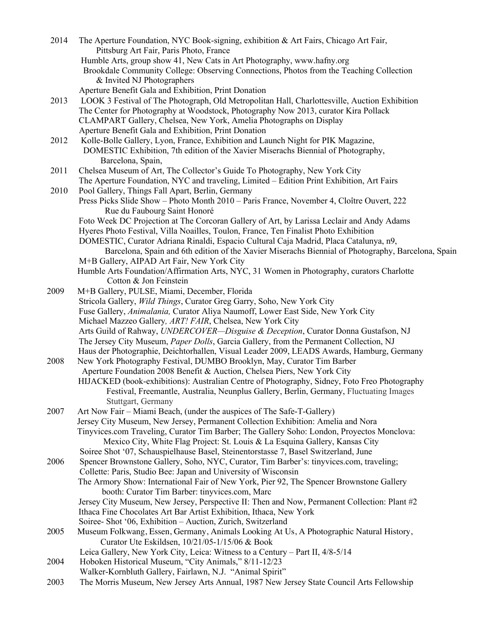2014 The Aperture Foundation, NYC Book-signing, exhibition & Art Fairs, Chicago Art Fair, Pittsburg Art Fair, Paris Photo, France Humble Arts, group show 41, New Cats in Art Photography, www.hafny.org Brookdale Community College: Observing Connections, Photos from the Teaching Collection & Invited NJ Photographers Aperture Benefit Gala and Exhibition, Print Donation 2013 LOOK 3 Festival of The Photograph, Old Metropolitan Hall, Charlottesville, Auction Exhibition The Center for Photography at Woodstock, Photography Now 2013, curator Kira Pollack CLAMPART Gallery, Chelsea, New York, Amelia Photographs on Display Aperture Benefit Gala and Exhibition, Print Donation 2012 Kolle-Bolle Gallery, Lyon, France, Exhibition and Launch Night for PIK Magazine, DOMESTIC Exhibition, 7th edition of the Xavier Miserachs Biennial of Photography, Barcelona, Spain, 2011 Chelsea Museum of Art, The Collector's Guide To Photography, New York City The Aperture Foundation, NYC and traveling, Limited – Edition Print Exhibition, Art Fairs 2010 Pool Gallery, Things Fall Apart, Berlin, Germany Press Picks Slide Show – Photo Month 2010 – Paris France, November 4, Cloître Ouvert, 222 Rue du Faubourg Saint Honoré Foto Week DC Projection at The Corcoran Gallery of Art, by Larissa Leclair and Andy Adams Hyeres Photo Festival, Villa Noailles, Toulon, France, Ten Finalist Photo Exhibition DOMESTIC, Curator Adriana Rinaldi, Espacio Cultural Caja Madrid, Placa Catalunya, n9, Barcelona, Spain and 6th edition of the Xavier Miserachs Biennial of Photography, Barcelona, Spain M+B Gallery, AIPAD Art Fair, New York City Humble Arts Foundation/Affirmation Arts, NYC, 31 Women in Photography, curators Charlotte Cotton & Jon Feinstein 2009 M+B Gallery, PULSE, Miami, December, Florida Stricola Gallery, *Wild Things*, Curator Greg Garry, Soho, New York City Fuse Gallery, *Animalania,* Curator Aliya Naumoff, Lower East Side, New York City Michael Mazzeo Gallery*, ART! FAIR*, Chelsea, New York City Arts Guild of Rahway, *UNDERCOVER—Disguise & Deception*, Curator Donna Gustafson, NJ The Jersey City Museum, *Paper Dolls*, Garcia Gallery, from the Permanent Collection, NJ Haus der Photographie, Deichtorhallen, Visual Leader 2009, LEADS Awards, Hamburg, Germany 2008 New York Photography Festival, DUMBO Brooklyn, May, Curator Tim Barber Aperture Foundation 2008 Benefit & Auction, Chelsea Piers, New York City HIJACKED (book-exhibitions): Australian Centre of Photography, Sidney, Foto Freo Photography Festival, Freemantle, Australia, Neunplus Gallery, Berlin, Germany, Fluctuating Images Stuttgart, Germany 2007 Art Now Fair – Miami Beach, (under the auspices of The Safe-T-Gallery) Jersey City Museum, New Jersey, Permanent Collection Exhibition: Amelia and Nora Tinyvices.com Traveling, Curator Tim Barber; The Gallery Soho: London, Proyectos Monclova: Mexico City, White Flag Project: St. Louis & La Esquina Gallery, Kansas City Soiree Shot '07, Schauspielhause Basel, Steinentorstasse 7, Basel Switzerland, June 2006 Spencer Brownstone Gallery, Soho, NYC, Curator, Tim Barber's: tinyvices.com, traveling; Collette: Paris, Studio Bee: Japan and University of Wisconsin The Armory Show: International Fair of New York, Pier 92, The Spencer Brownstone Gallery booth: Curator Tim Barber: tinyvices.com, Marc Jersey City Museum, New Jersey, Perspective II: Then and Now, Permanent Collection: Plant #2 Ithaca Fine Chocolates Art Bar Artist Exhibition, Ithaca, New York Soiree- Shot '06, Exhibition – Auction, Zurich, Switzerland 2005 Museum Folkwang, Essen, Germany, Animals Looking At Us, A Photographic Natural History, Curator Ute Eskildsen, 10/21/05-1/15/06 & Book Leica Gallery, New York City, Leica: Witness to a Century – Part II, 4/8-5/14 2004 Hoboken Historical Museum, "City Animals," 8/11-12/23 Walker-Kornbluth Gallery, Fairlawn, N.J. "Animal Spirit" 2003 The Morris Museum, New Jersey Arts Annual, 1987 New Jersey State Council Arts Fellowship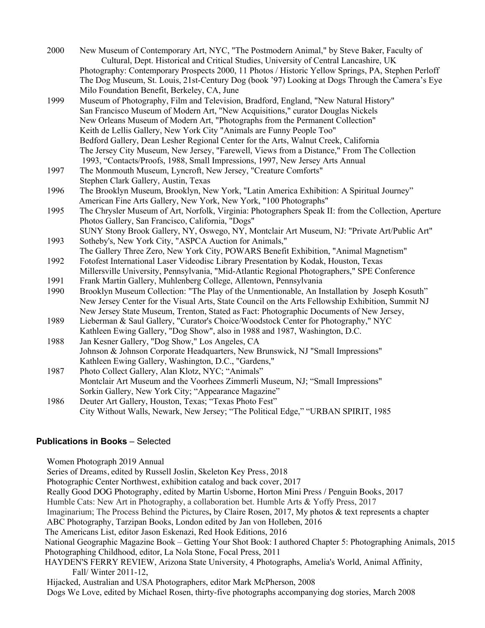- 2000 New Museum of Contemporary Art, NYC, "The Postmodern Animal," by Steve Baker, Faculty of Cultural, Dept. Historical and Critical Studies, University of Central Lancashire, UK Photography: Contemporary Prospects 2000, 11 Photos / Historic Yellow Springs, PA, Stephen Perloff The Dog Museum, St. Louis, 21st-Century Dog (book '97) Looking at Dogs Through the Camera's Eye Milo Foundation Benefit, Berkeley, CA, June
- 1999 Museum of Photography, Film and Television, Bradford, England, "New Natural History" San Francisco Museum of Modern Art, "New Acquisitions," curator Douglas Nickels New Orleans Museum of Modern Art, "Photographs from the Permanent Collection" Keith de Lellis Gallery, New York City "Animals are Funny People Too" Bedford Gallery, Dean Lesher Regional Center for the Arts, Walnut Creek, California The Jersey City Museum, New Jersey, "Farewell, Views from a Distance," From The Collection 1993, "Contacts/Proofs, 1988, Small Impressions, 1997, New Jersey Arts Annual
- 1997 The Monmouth Museum, Lyncroft, New Jersey, "Creature Comforts" Stephen Clark Gallery, Austin, Texas
- 1996 The Brooklyn Museum, Brooklyn, New York, "Latin America Exhibition: A Spiritual Journey" American Fine Arts Gallery, New York, New York, "100 Photographs"
- 1995 The Chrysler Museum of Art, Norfolk, Virginia: Photographers Speak II: from the Collection, Aperture Photos Gallery, San Francisco, California, "Dogs" SUNY Stony Brook Gallery, NY, Oswego, NY, Montclair Art Museum, NJ: "Private Art/Public Art"
- 1993 Sotheby's, New York City, "ASPCA Auction for Animals," The Gallery Three Zero, New York City, POWARS Benefit Exhibition, "Animal Magnetism"
- 1992 Fotofest International Laser Videodisc Library Presentation by Kodak, Houston, Texas Millersville University, Pennsylvania, "Mid-Atlantic Regional Photographers," SPE Conference
- 1991 Frank Martin Gallery, Muhlenberg College, Allentown, Pennsylvania
- 1990 Brooklyn Museum Collection: "The Play of the Unmentionable, An Installation by Joseph Kosuth" New Jersey Center for the Visual Arts, State Council on the Arts Fellowship Exhibition, Summit NJ New Jersey State Museum, Trenton, Stated as Fact: Photographic Documents of New Jersey,
- 1989 Lieberman & Saul Gallery, "Curator's Choice/Woodstock Center for Photography," NYC Kathleen Ewing Gallery, "Dog Show", also in 1988 and 1987, Washington, D.C.
- 1988 Jan Kesner Gallery, "Dog Show," Los Angeles, CA Johnson & Johnson Corporate Headquarters, New Brunswick, NJ "Small Impressions" Kathleen Ewing Gallery, Washington, D.C., "Gardens,"
- 1987 Photo Collect Gallery, Alan Klotz, NYC; "Animals" Montclair Art Museum and the Voorhees Zimmerli Museum, NJ; "Small Impressions" Sorkin Gallery, New York City; "Appearance Magazine"
- 1986 Deuter Art Gallery, Houston, Texas; "Texas Photo Fest" City Without Walls, Newark, New Jersey; "The Political Edge," "URBAN SPIRIT, 1985

# **Publications in Books** – Selected

Women Photograph 2019 Annual

Series of Dreams, edited by Russell Joslin, Skeleton Key Press, 2018 Photographic Center Northwest, exhibition catalog and back cover, 2017 Really Good DOG Photography, edited by Martin Usborne, Horton Mini Press / Penguin Books, 2017 Humble Cats: New Art in Photography, a collaboration bet. Humble Arts & Yoffy Press, 2017 Imaginarium; The Process Behind the Pictures**,** by Claire Rosen, 2017, My photos & text represents a chapter ABC Photography, Tarzipan Books, London edited by Jan von Holleben, 2016 The Americans List, editor Jason Eskenazi, Red Hook Editions, 2016 National Geographic Magazine Book – Getting Your Shot Book: I authored Chapter 5: Photographing Animals, 2015 Photographing Childhood, editor, La Nola Stone, Focal Press, 2011 HAYDEN'S FERRY REVIEW, Arizona State University, 4 Photographs, Amelia's World, Animal Affinity, Fall/ Winter 2011-12, Hijacked, Australian and USA Photographers, editor Mark McPherson, 2008 Dogs We Love, edited by Michael Rosen, thirty-five photographs accompanying dog stories, March 2008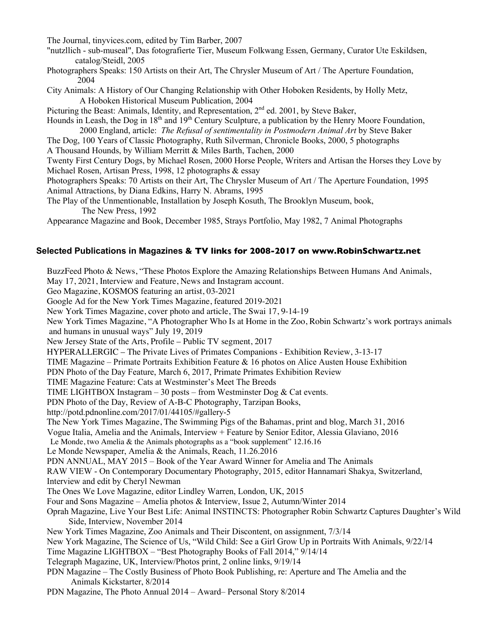The Journal, tinyvices.com, edited by Tim Barber, 2007

"nutzllich - sub-museal", Das fotografierte Tier, Museum Folkwang Essen, Germany, Curator Ute Eskildsen, catalog/Steidl, 2005

- Photographers Speaks: 150 Artists on their Art, The Chrysler Museum of Art / The Aperture Foundation, 2004
- City Animals: A History of Our Changing Relationship with Other Hoboken Residents, by Holly Metz, A Hoboken Historical Museum Publication, 2004

Picturing the Beast: Animals, Identity, and Representation, 2<sup>nd</sup> ed. 2001, by Steve Baker,

Hounds in Leash, the Dog in 18<sup>th</sup> and 19<sup>th</sup> Century Sculpture, a publication by the Henry Moore Foundation, 2000 England, article: *The Refusal of sentimentality in Postmodern Animal Art* by Steve Baker

The Dog, 100 Years of Classic Photography, Ruth Silverman, Chronicle Books, 2000, 5 photographs A Thousand Hounds, by William Merritt & Miles Barth, Tachen, 2000

Twenty First Century Dogs, by Michael Rosen, 2000 Horse People, Writers and Artisan the Horses they Love by Michael Rosen, Artisan Press, 1998, 12 photographs & essay

Photographers Speaks: 70 Artists on their Art, The Chrysler Museum of Art / The Aperture Foundation, 1995 Animal Attractions, by Diana Edkins, Harry N. Abrams, 1995

The Play of the Unmentionable, Installation by Joseph Kosuth, The Brooklyn Museum, book, The New Press, 1992

Appearance Magazine and Book, December 1985, Strays Portfolio, May 1982, 7 Animal Photographs

### **Selected Publications in Magazines & TV links for 2008-2017 on www.RobinSchwartz.net**

BuzzFeed Photo & News, "These Photos Explore the Amazing Relationships Between Humans And Animals, May 17, 2021, Interview and Feature, News and Instagram account. Geo Magazine, KOSMOS featuring an artist, 03-2021 Google Ad for the New York Times Magazine, featured 2019-2021 New York Times Magazine, cover photo and article, The Swai 17, 9-14-19 New York Times Magazine, "A Photographer Who Is at Home in the Zoo, Robin Schwartz's work portrays animals and humans in unusual ways" July 19, 2019 New Jersey State of the Arts, Profile – Public TV segment, 2017 HYPERALLERGIC – The Private Lives of Primates Companions - Exhibition Review, 3-13-17 TIME Magazine – Primate Portraits Exhibition Feature & 16 photos on Alice Austen House Exhibition PDN Photo of the Day Feature, March 6, 2017, Primate Primates Exhibition Review TIME Magazine Feature: Cats at Westminster's Meet The Breeds TIME LIGHTBOX Instagram  $-30$  posts – from Westminster Dog & Cat events. PDN Photo of the Day, Review of A-B-C Photography, Tarzipan Books, http://potd.pdnonline.com/2017/01/44105/#gallery-5 The New York Times Magazine, The Swimming Pigs of the Bahamas, print and blog, March 31, 2016 Vogue Italia, Amelia and the Animals, Interview + Feature by Senior Editor, Alessia Glaviano, 2016 Le Monde, two Amelia & the Animals photographs as a "book supplement" 12.16.16 Le Monde Newspaper, Amelia & the Animals, Reach, 11.26.2016 PDN ANNUAL, MAY 2015 – Book of the Year Award Winner for Amelia and The Animals RAW VIEW - On Contemporary Documentary Photography, 2015, editor Hannamari Shakya, Switzerland, Interview and edit by Cheryl Newman The Ones We Love Magazine, editor Lindley Warren, London, UK, 2015 Four and Sons Magazine – Amelia photos & Interview, Issue 2, Autumn/Winter 2014 Oprah Magazine, Live Your Best Life: Animal INSTINCTS: Photographer Robin Schwartz Captures Daughter's Wild Side, Interview, November 2014 New York Times Magazine, Zoo Animals and Their Discontent, on assignment, 7/3/14 New York Magazine, The Science of Us, "Wild Child: See a Girl Grow Up in Portraits With Animals, 9/22/14 Time Magazine LIGHTBOX – "Best Photography Books of Fall 2014," 9/14/14 Telegraph Magazine, UK, Interview/Photos print, 2 online links, 9/19/14 PDN Magazine – The Costly Business of Photo Book Publishing, re: Aperture and The Amelia and the Animals Kickstarter, 8/2014 PDN Magazine, The Photo Annual 2014 – Award– Personal Story 8/2014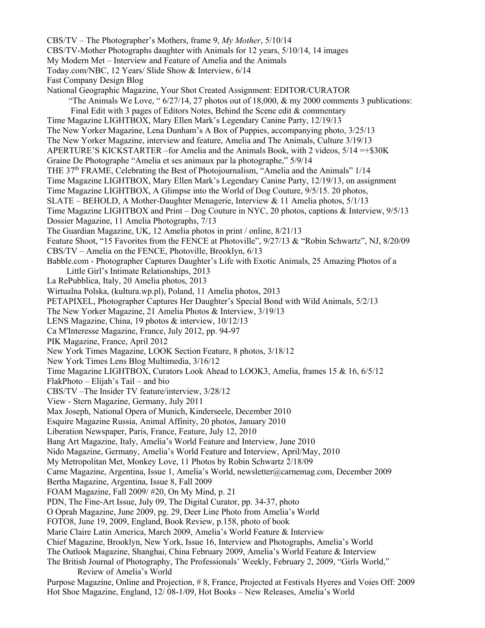CBS/TV – The Photographer's Mothers, frame 9, *My Mother*, 5/10/14 CBS/TV-Mother Photographs daughter with Animals for 12 years, 5/10/14, 14 images My Modern Met – Interview and Feature of Amelia and the Animals Today.com/NBC, 12 Years/ Slide Show & Interview, 6/14 Fast Company Design Blog National Geographic Magazine, Your Shot Created Assignment: EDITOR/CURATOR "The Animals We Love, "6/27/14, 27 photos out of 18,000, & my 2000 comments 3 publications: Final Edit with 3 pages of Editors Notes, Behind the Scene edit & commentary Time Magazine LIGHTBOX, Mary Ellen Mark's Legendary Canine Party, 12/19/13 The New Yorker Magazine, Lena Dunham's A Box of Puppies, accompanying photo, 3/25/13 The New Yorker Magazine, interview and feature, Amelia and The Animals, Culture 3/19/13 APERTURE'S KICKSTARTER –for Amelia and the Animals Book, with 2 videos, 5/14 =+\$30K Graine De Photographe "Amelia et ses animaux par la photographe," 5/9/14 THE  $37<sup>th</sup> FRAME$ , Celebrating the Best of Photojournalism, "Amelia and the Animals"  $1/14$ Time Magazine LIGHTBOX, Mary Ellen Mark's Legendary Canine Party, 12/19/13, on assignment Time Magazine LIGHTBOX, A Glimpse into the World of Dog Couture, 9/5/15. 20 photos, SLATE – BEHOLD, A Mother-Daughter Menagerie, Interview & 11 Amelia photos, 5/1/13 Time Magazine LIGHTBOX and Print – Dog Couture in NYC, 20 photos, captions & Interview, 9/5/13 Dossier Magazine, 11 Amelia Photographs, 7/13 The Guardian Magazine, UK, 12 Amelia photos in print / online, 8/21/13 Feature Shoot, "15 Favorites from the FENCE at Photoville", 9/27/13 & "Robin Schwartz", NJ, 8/20/09 CBS/TV – Amelia on the FENCE, Photoville, Brooklyn, 6/13 Babble.com - Photographer Captures Daughter's Life with Exotic Animals, 25 Amazing Photos of a Little Girl's Intimate Relationships, 2013 La RePubblica, Italy, 20 Amelia photos, 2013 Wirtualna Polska, (kultura.wp.pl), Poland, 11 Amelia photos, 2013 PETAPIXEL, Photographer Captures Her Daughter's Special Bond with Wild Animals, 5/2/13 The New Yorker Magazine, 21 Amelia Photos & Interview, 3/19/13 LENS Magazine, China, 19 photos & interview, 10/12/13 Ca M'Interesse Magazine, France, July 2012, pp. 94-97 PIK Magazine, France, April 2012 New York Times Magazine, LOOK Section Feature, 8 photos, 3/18/12 New York Times Lens Blog Multimedia, 3/16/12 Time Magazine LIGHTBOX, Curators Look Ahead to LOOK3, Amelia, frames 15 & 16, 6/5/12 FlakPhoto – Elijah's Tail – and bio CBS/TV –The Insider TV feature/interview, 3/28/12 View - Stern Magazine, Germany, July 2011 Max Joseph, National Opera of Munich, Kinderseele, December 2010 Esquire Magazine Russia, Animal Affinity, 20 photos, January 2010 Liberation Newspaper, Paris, France, Feature, July 12, 2010 Bang Art Magazine, Italy, Amelia's World Feature and Interview, June 2010 Nido Magazine, Germany, Amelia's World Feature and Interview, April/May, 2010 My Metropolitan Met, Monkey Love, 11 Photos by Robin Schwartz 2/18/09 Carne Magazine, Argentina, Issue 1, Amelia's World, newsletter@carnemag.com, December 2009 Bertha Magazine, Argentina, Issue 8, Fall 2009 FOAM Magazine, Fall 2009/ #20, On My Mind, p. 21 PDN, The Fine-Art Issue, July 09, The Digital Curator, pp. 34-37, photo O Oprah Magazine, June 2009, pg. 29, Deer Line Photo from Amelia's World FOTO8, June 19, 2009, England, Book Review, p.158, photo of book Marie Claire Latin America, March 2009, Amelia's World Feature & Interview Chief Magazine, Brooklyn, New York, Issue 16, Interview and Photographs, Amelia's World The Outlook Magazine, Shanghai, China February 2009, Amelia's World Feature & Interview The British Journal of Photography, The Professionals' Weekly, February 2, 2009, "Girls World," Review of Amelia's World Purpose Magazine, Online and Projection, # 8, France, Projected at Festivals Hyeres and Voies Off: 2009 Hot Shoe Magazine, England, 12/ 08-1/09, Hot Books – New Releases, Amelia's World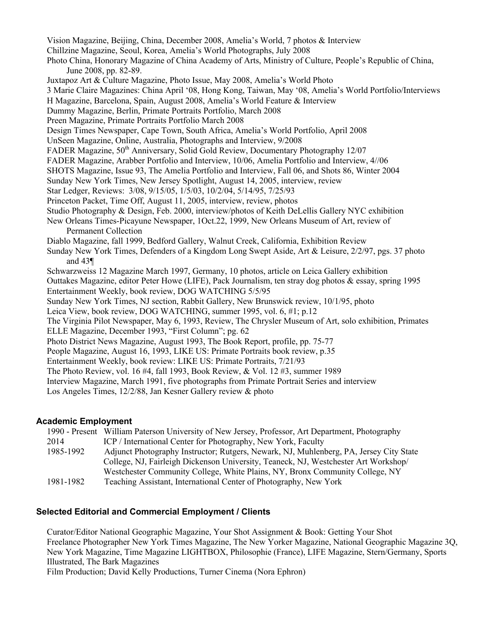Vision Magazine, Beijing, China, December 2008, Amelia's World, 7 photos & Interview Chillzine Magazine, Seoul, Korea, Amelia's World Photographs, July 2008 Photo China, Honorary Magazine of China Academy of Arts, Ministry of Culture, People's Republic of China, June 2008, pp. 82-89. Juxtapoz Art & Culture Magazine, Photo Issue, May 2008, Amelia's World Photo 3 Marie Claire Magazines: China April '08, Hong Kong, Taiwan, May '08, Amelia's World Portfolio/Interviews H Magazine, Barcelona, Spain, August 2008, Amelia's World Feature & Interview Dummy Magazine, Berlin, Primate Portraits Portfolio, March 2008 Preen Magazine, Primate Portraits Portfolio March 2008 Design Times Newspaper, Cape Town, South Africa, Amelia's World Portfolio, April 2008 UnSeen Magazine, Online, Australia, Photographs and Interview, 9/2008 FADER Magazine, 50<sup>th</sup> Anniversary, Solid Gold Review, Documentary Photography 12/07 FADER Magazine, Arabber Portfolio and Interview, 10/06, Amelia Portfolio and Interview, 4//06 SHOTS Magazine, Issue 93, The Amelia Portfolio and Interview, Fall 06, and Shots 86, Winter 2004 Sunday New York Times, New Jersey Spotlight, August 14, 2005, interview, review Star Ledger, Reviews: 3/08, 9/15/05, 1/5/03, 10/2/04, 5/14/95, 7/25/93 Princeton Packet, Time Off, August 11, 2005, interview, review, photos Studio Photography & Design, Feb. 2000, interview/photos of Keith DeLellis Gallery NYC exhibition New Orleans Times-Picayune Newspaper, 1Oct.22, 1999, New Orleans Museum of Art, review of Permanent Collection Diablo Magazine, fall 1999, Bedford Gallery, Walnut Creek, California, Exhibition Review Sunday New York Times, Defenders of a Kingdom Long Swept Aside, Art & Leisure, 2/2/97, pgs. 37 photo and 43¶ Schwarzweiss 12 Magazine March 1997, Germany, 10 photos, article on Leica Gallery exhibition Outtakes Magazine, editor Peter Howe (LIFE), Pack Journalism, ten stray dog photos & essay, spring 1995 Entertainment Weekly, book review, DOG WATCHING 5/5/95 Sunday New York Times, NJ section, Rabbit Gallery, New Brunswick review, 10/1/95, photo Leica View, book review, DOG WATCHING, summer 1995, vol. 6, #1; p.12 The Virginia Pilot Newspaper, May 6, 1993, Review, The Chrysler Museum of Art, solo exhibition, Primates ELLE Magazine, December 1993, "First Column"; pg. 62 Photo District News Magazine, August 1993, The Book Report, profile, pp. 75-77 People Magazine, August 16, 1993, LIKE US: Primate Portraits book review, p.35 Entertainment Weekly, book review: LIKE US: Primate Portraits, 7/21/93 The Photo Review, vol. 16 #4, fall 1993, Book Review, & Vol. 12 #3, summer 1989 Interview Magazine, March 1991, five photographs from Primate Portrait Series and interview Los Angeles Times, 12/2/88, Jan Kesner Gallery review & photo

#### **Academic Employment**

|           | 1990 - Present William Paterson University of New Jersey, Professor, Art Department, Photography |
|-----------|--------------------------------------------------------------------------------------------------|
| 2014      | ICP / International Center for Photography, New York, Faculty                                    |
| 1985-1992 | Adjunct Photography Instructor; Rutgers, Newark, NJ, Muhlenberg, PA, Jersey City State           |
|           | College, NJ, Fairleigh Dickenson University, Teaneck, NJ, Westchester Art Workshop/              |
|           | Westchester Community College, White Plains, NY, Bronx Community College, NY                     |
| 1981-1982 | Teaching Assistant, International Center of Photography, New York                                |

## **Selected Editorial and Commercial Employment / Clients**

Curator/Editor National Geographic Magazine, Your Shot Assignment & Book: Getting Your Shot Freelance Photographer New York Times Magazine, The New Yorker Magazine, National Geographic Magazine 3Q, New York Magazine, Time Magazine LIGHTBOX, Philosophie (France), LIFE Magazine, Stern/Germany, Sports Illustrated, The Bark Magazines Film Production; David Kelly Productions, Turner Cinema (Nora Ephron)